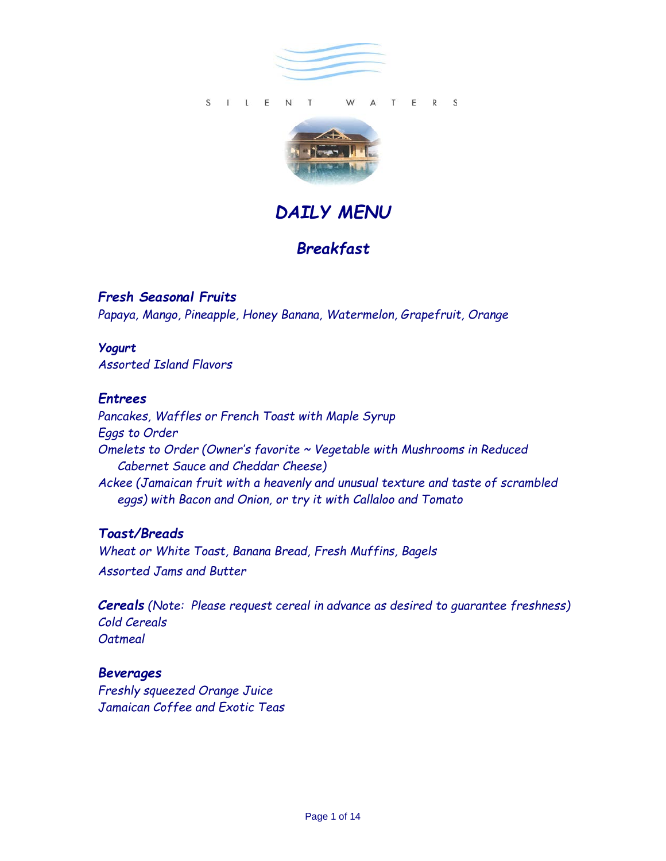



*DAILY MENU*

# *Breakfast*

*Fresh Seasonal Fruits Papaya, Mango, Pineapple, Honey Banana, Watermelon, Grapefruit, Orange* 

# *Yogurt*

*Assorted Island Flavors*

# *Entrees*

*Pancakes, Waffles or French Toast with Maple Syrup Eggs to Order Omelets to Order (Owner's favorite ~ Vegetable with Mushrooms in Reduced Cabernet Sauce and Cheddar Cheese) Ackee (Jamaican fruit with a heavenly and unusual texture and taste of scrambled eggs) with Bacon and Onion, or try it with Callaloo and Tomato* 

# *Toast/Breads*

*Wheat or White Toast, Banana Bread, Fresh Muffins, Bagels Assorted Jams and Butter* 

*Cereals* (Note: Please request cereal in advance as desired to quarantee freshness) *Cold Cereals Oatmeal* 

#### *Beverages Freshly squeezed Orange Juice Jamaican Coffee and Exotic Teas*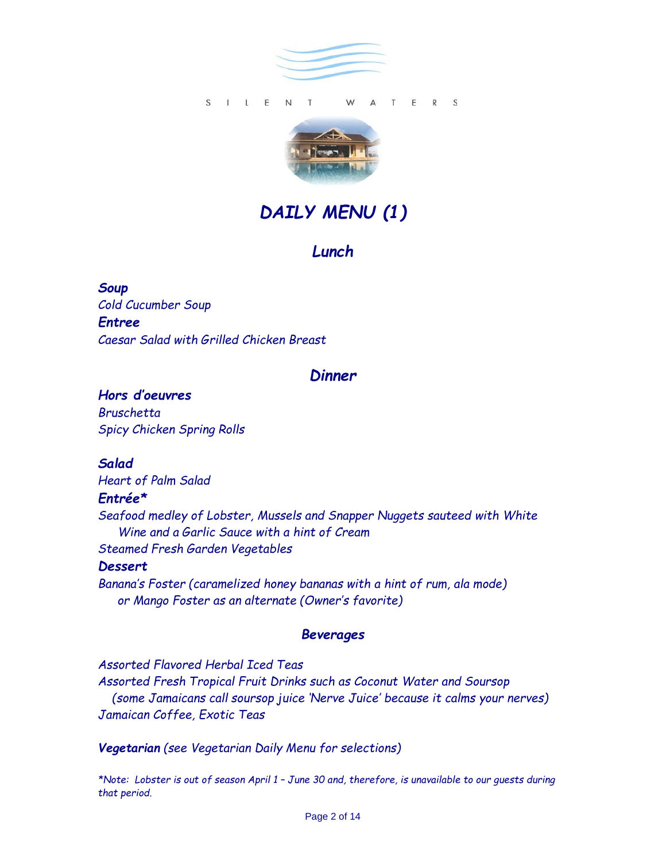



# *DAILY MENU (1)*

#### *Lunch*

*Soup Cold Cucumber Soup Entree Caesar Salad with Grilled Chicken Breast* 

### *Dinner*

*Hors d'oeuvres Bruschetta Spicy Chicken Spring Rolls* 

*Salad* 

# *Heart of Palm Salad Entrée\* Seafood medley of Lobster, Mussels and Snapper Nuggets sauteed with White Wine and a Garlic Sauce with a hint of Cream Steamed Fresh Garden Vegetables Dessert*

*Banana's Foster (caramelized honey bananas with a hint of rum, ala mode) or Mango Foster as an alternate (Owner's favorite)*

#### *Beverages*

*Assorted Flavored Herbal Iced Teas Assorted Fresh Tropical Fruit Drinks such as Coconut Water and Soursop (some Jamaicans call soursop juice 'Nerve Juice' because it calms your nerves) Jamaican Coffee, Exotic Teas*

*Vegetarian (see Vegetarian Daily Menu for selections)*

*\*Note: Lobster is out of season April 1 – June 30 and, therefore, is unavailable to our guests during that period.*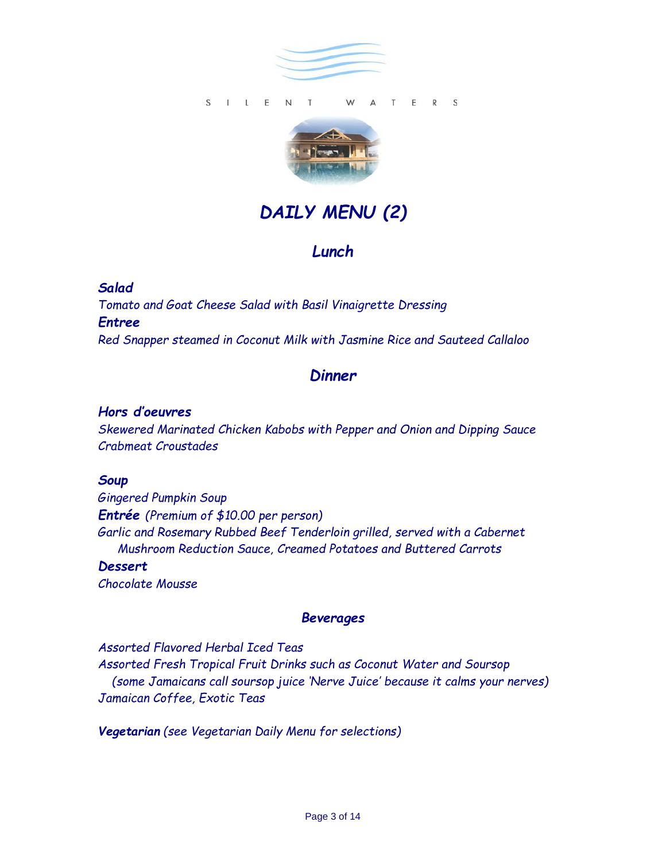



# *DAILY MENU (2)*

# *Lunch*

#### *Salad*

*Tomato and Goat Cheese Salad with Basil Vinaigrette Dressing Entree Red Snapper steamed in Coconut Milk with Jasmine Rice and Sauteed Callaloo*

# *Dinner*

#### *Hors d'oeuvres*

*Skewered Marinated Chicken Kabobs with Pepper and Onion and Dipping Sauce Crabmeat Croustades* 

#### *Soup*

*Gingered Pumpkin Soup Entrée (Premium of \$10.00 per person) Garlic and Rosemary Rubbed Beef Tenderloin grilled, served with a Cabernet Mushroom Reduction Sauce, Creamed Potatoes and Buttered Carrots Dessert* 

*Chocolate Mousse* 

#### *Beverages*

*Assorted Flavored Herbal Iced Teas Assorted Fresh Tropical Fruit Drinks such as Coconut Water and Soursop (some Jamaicans call soursop juice 'Nerve Juice' because it calms your nerves) Jamaican Coffee, Exotic Teas*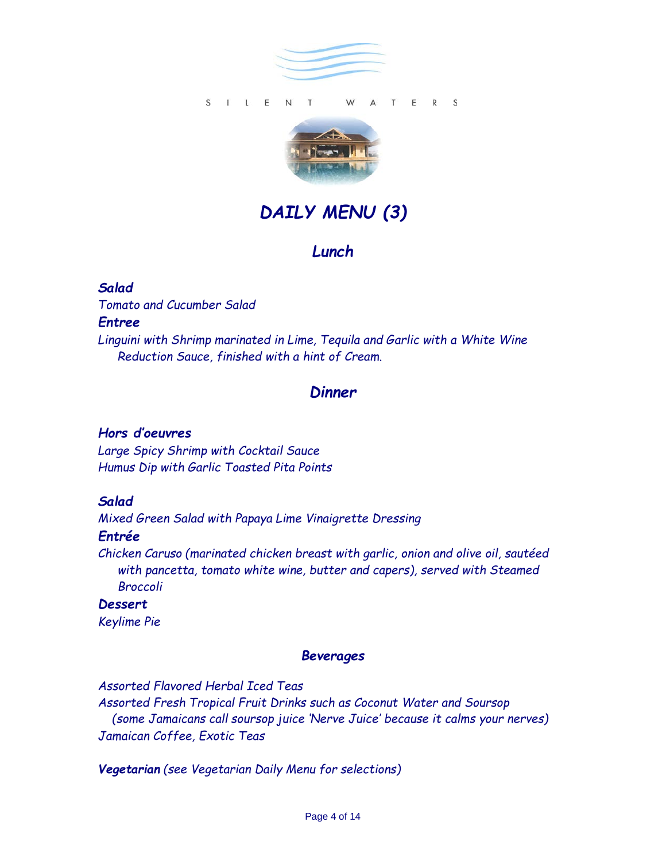



# *DAILY MENU (3)*

# *Lunch*

#### *Salad*

*Tomato and Cucumber Salad* 

#### *Entree*

*Linguini with Shrimp marinated in Lime, Tequila and Garlic with a White Wine Reduction Sauce, finished with a hint of Cream.* 

# *Dinner*

#### *Hors d'oeuvres*

*Large Spicy Shrimp with Cocktail Sauce Humus Dip with Garlic Toasted Pita Points* 

# *Salad*

*Mixed Green Salad with Papaya Lime Vinaigrette Dressing* 

#### *Entrée*

*Chicken Caruso (marinated chicken breast with garlic, onion and olive oil, sautéed with pancetta, tomato white wine, butter and capers), served with Steamed Broccoli* 

*Dessert Keylime Pie* 

#### *Beverages*

*Assorted Flavored Herbal Iced Teas* 

*Assorted Fresh Tropical Fruit Drinks such as Coconut Water and Soursop (some Jamaicans call soursop juice 'Nerve Juice' because it calms your nerves) Jamaican Coffee, Exotic Teas*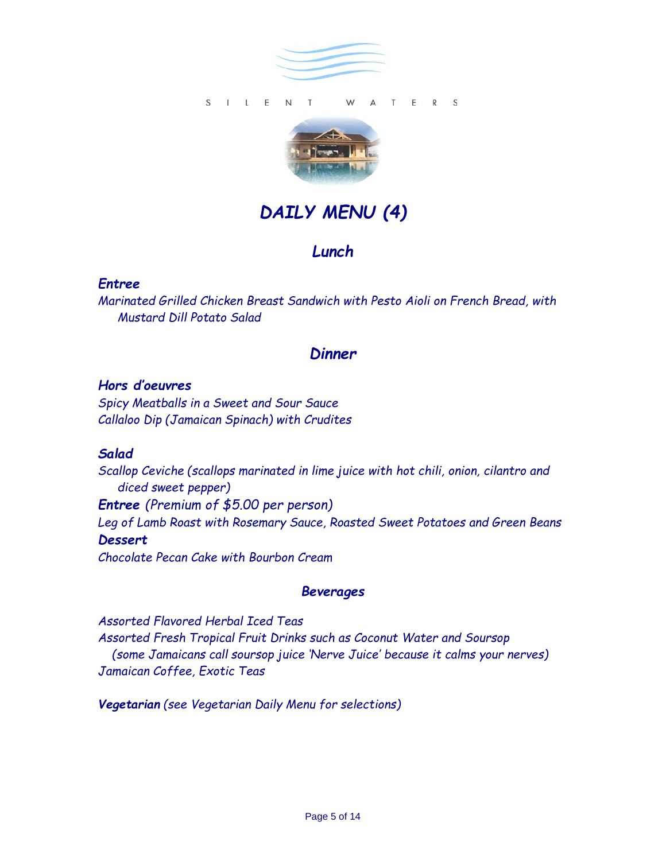



# *DAILY MENU (4)*

# *Lunch*

### *Entree*

*Marinated Grilled Chicken Breast Sandwich with Pesto Aioli on French Bread, with Mustard Dill Potato Salad* 

# *Dinner*

### *Hors d'oeuvres*

*Spicy Meatballs in a Sweet and Sour Sauce Callaloo Dip (Jamaican Spinach) with Crudites* 

#### *Salad*

*Scallop Ceviche (scallops marinated in lime juice with hot chili, onion, cilantro and diced sweet pepper) Entree (Premium of \$5.00 per person) Leg of Lamb Roast with Rosemary Sauce, Roasted Sweet Potatoes and Green Beans Dessert Chocolate Pecan Cake with Bourbon Cream* 

# *Beverages*

*Assorted Flavored Herbal Iced Teas Assorted Fresh Tropical Fruit Drinks such as Coconut Water and Soursop (some Jamaicans call soursop juice 'Nerve Juice' because it calms your nerves) Jamaican Coffee, Exotic Teas*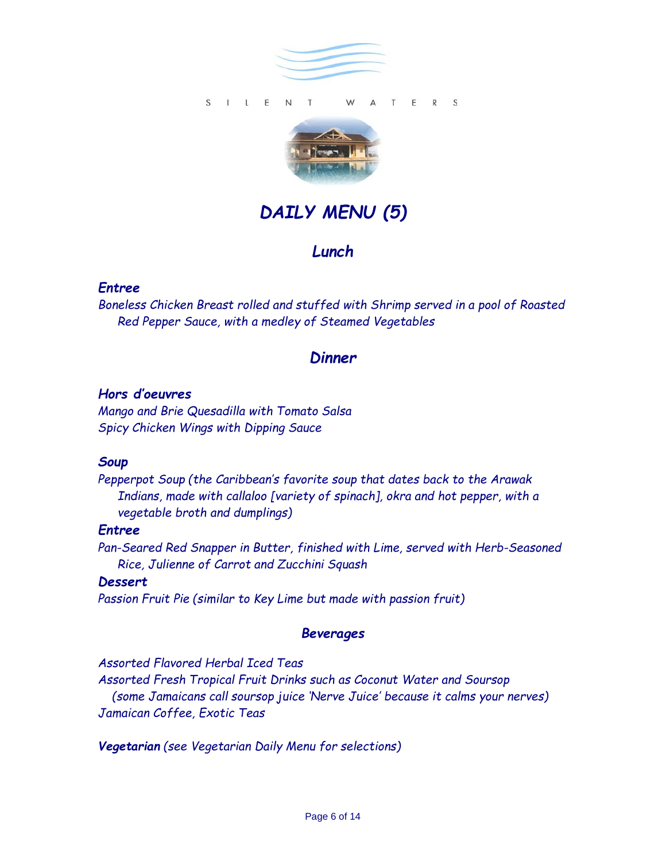



# *DAILY MENU (5)*

# *Lunch*

#### *Entree*

*Boneless Chicken Breast rolled and stuffed with Shrimp served in a pool of Roasted Red Pepper Sauce, with a medley of Steamed Vegetables* 

# *Dinner*

#### *Hors d'oeuvres*

*Mango and Brie Quesadilla with Tomato Salsa Spicy Chicken Wings with Dipping Sauce* 

#### *Soup*

*Pepperpot Soup (the Caribbean's favorite soup that dates back to the Arawak Indians, made with callaloo [variety of spinach], okra and hot pepper, with a vegetable broth and dumplings)* 

#### *Entree*

*Pan-Seared Red Snapper in Butter, finished with Lime, served with Herb-Seasoned Rice, Julienne of Carrot and Zucchini Squash* 

#### *Dessert*

*Passion Fruit Pie (similar to Key Lime but made with passion fruit)*

#### *Beverages*

*Assorted Flavored Herbal Iced Teas* 

*Assorted Fresh Tropical Fruit Drinks such as Coconut Water and Soursop (some Jamaicans call soursop juice 'Nerve Juice' because it calms your nerves) Jamaican Coffee, Exotic Teas*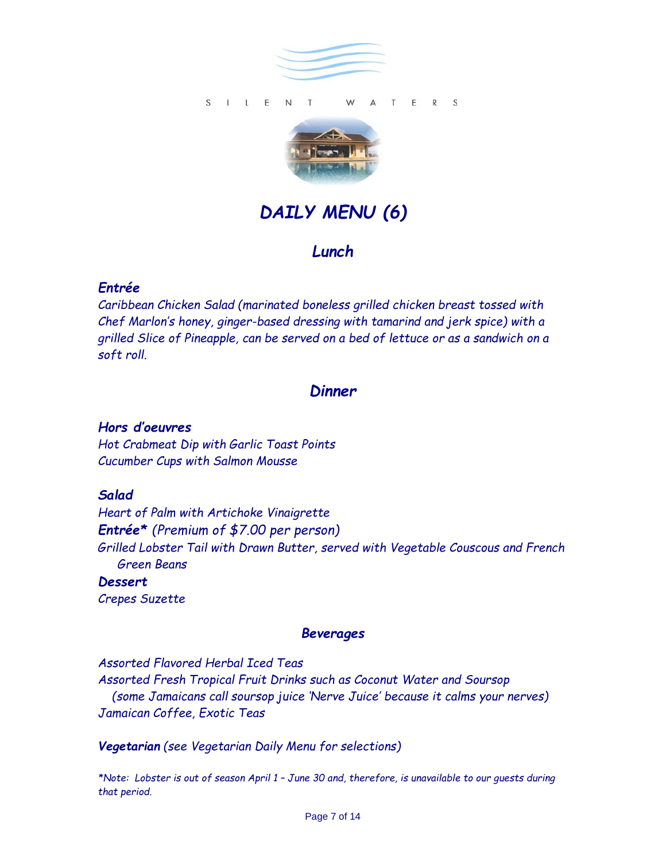



# *DAILY MENU (6)*

# *Lunch*

# *Entrée*

*Caribbean Chicken Salad (marinated boneless grilled chicken breast tossed with Chef Marlon's honey, ginger-based dressing with tamarind and jerk spice) with a grilled Slice of Pineapple, can be served on a bed of lettuce or as a sandwich on a soft roll.*

# *Dinner*

# *Hors d'oeuvres*

*Hot Crabmeat Dip with Garlic Toast Points Cucumber Cups with Salmon Mousse*

# *Salad*

*Heart of Palm with Artichoke Vinaigrette Entrée\* (Premium of \$7.00 per person) Grilled Lobster Tail with Drawn Butter, served with Vegetable Couscous and French Green Beans* 

*Dessert Crepes Suzette* 

#### *Beverages*

*Assorted Flavored Herbal Iced Teas Assorted Fresh Tropical Fruit Drinks such as Coconut Water and Soursop (some Jamaicans call soursop juice 'Nerve Juice' because it calms your nerves) Jamaican Coffee, Exotic Teas*

#### *Vegetarian (see Vegetarian Daily Menu for selections)*

*\*Note: Lobster is out of season April 1 – June 30 and, therefore, is unavailable to our guests during that period.*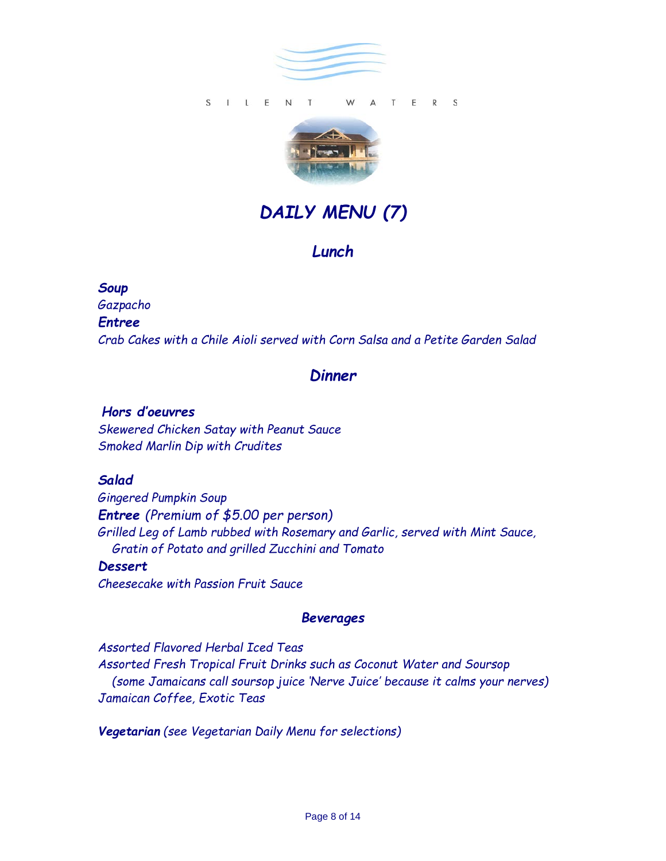

#### S I L E N T T E R S W  $\triangle$



# *DAILY MENU (7)*

# *Lunch*

#### *Soup*

*Gazpacho* 

#### *Entree*

*Crab Cakes with a Chile Aioli served with Corn Salsa and a Petite Garden Salad* 

# *Dinner*

#### *Hors d'oeuvres*

*Skewered Chicken Satay with Peanut Sauce Smoked Marlin Dip with Crudites* 

#### *Salad*

*Gingered Pumpkin Soup Entree (Premium of \$5.00 per person) Grilled Leg of Lamb rubbed with Rosemary and Garlic, served with Mint Sauce, Gratin of Potato and grilled Zucchini and Tomato* 

#### *Dessert*

*Cheesecake with Passion Fruit Sauce* 

#### *Beverages*

*Assorted Flavored Herbal Iced Teas Assorted Fresh Tropical Fruit Drinks such as Coconut Water and Soursop (some Jamaicans call soursop juice 'Nerve Juice' because it calms your nerves) Jamaican Coffee, Exotic Teas*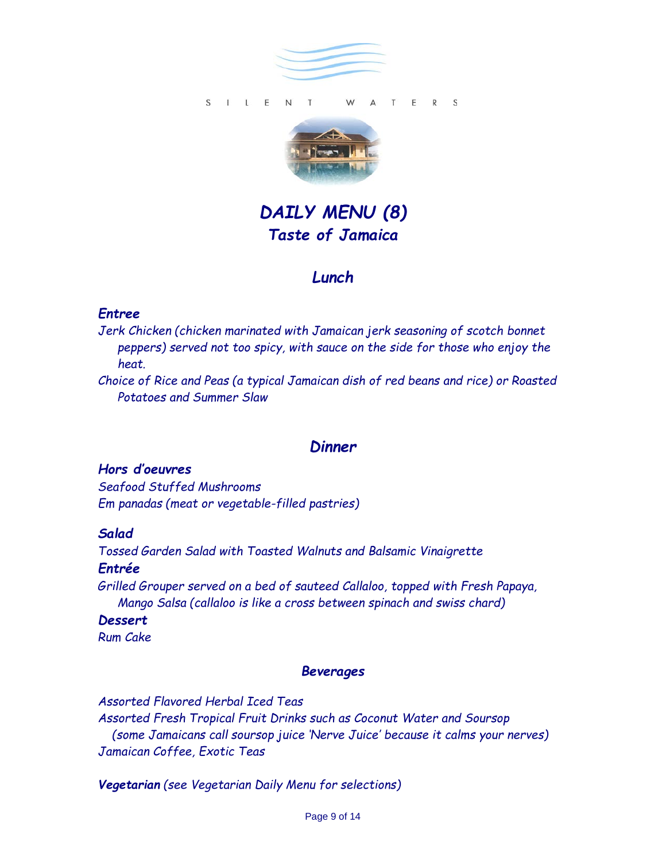



*DAILY MENU (8) Taste of Jamaica*

# *Lunch*

#### *Entree*

*Jerk Chicken (chicken marinated with Jamaican jerk seasoning of scotch bonnet peppers) served not too spicy, with sauce on the side for those who enjoy the heat.*

*Choice of Rice and Peas (a typical Jamaican dish of red beans and rice) or Roasted Potatoes and Summer Slaw*

# *Dinner*

### *Hors d'oeuvres*

*Seafood Stuffed Mushrooms Em panadas (meat or vegetable-filled pastries)*

#### *Salad*

*Tossed Garden Salad with Toasted Walnuts and Balsamic Vinaigrette Entrée* 

*Grilled Grouper served on a bed of sauteed Callaloo, topped with Fresh Papaya, Mango Salsa (callaloo is like a cross between spinach and swiss chard)*

#### *Dessert*

*Rum Cake* 

#### *Beverages*

*Assorted Flavored Herbal Iced Teas Assorted Fresh Tropical Fruit Drinks such as Coconut Water and Soursop (some Jamaicans call soursop juice 'Nerve Juice' because it calms your nerves) Jamaican Coffee, Exotic Teas*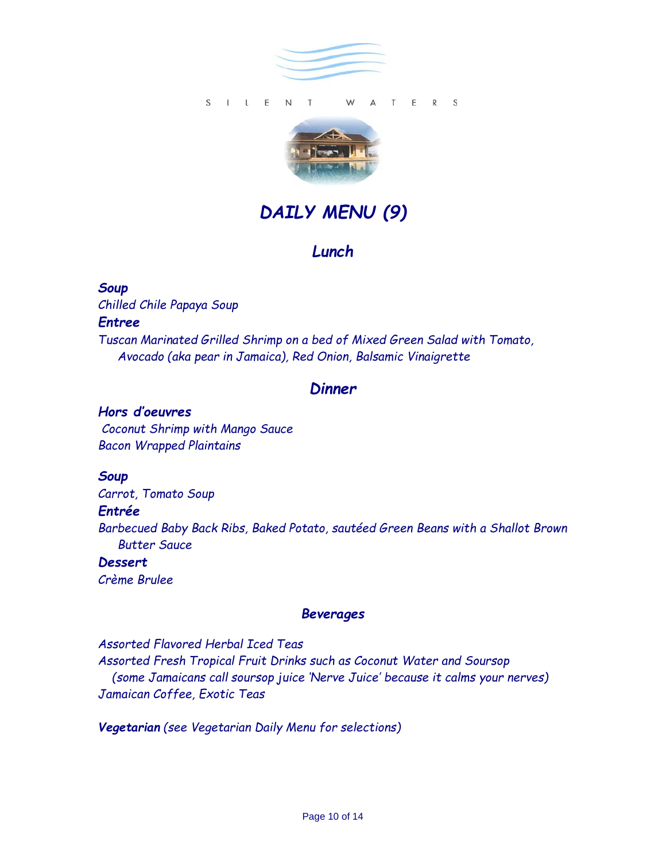



# *DAILY MENU (9)*

# *Lunch*

#### *Soup*

*Chilled Chile Papaya Soup Entree Tuscan Marinated Grilled Shrimp on a bed of Mixed Green Salad with Tomato, Avocado (aka pear in Jamaica), Red Onion, Balsamic Vinaigrette* 

### *Dinner*

#### *Hors d'oeuvres*

*Coconut Shrimp with Mango Sauce Bacon Wrapped Plaintains*

#### *Soup*

*Carrot, Tomato Soup Entrée Barbecued Baby Back Ribs, Baked Potato, sautéed Green Beans with a Shallot Brown Butter Sauce*

#### *Dessert Crème Brulee*

# *Beverages*

*Assorted Flavored Herbal Iced Teas Assorted Fresh Tropical Fruit Drinks such as Coconut Water and Soursop (some Jamaicans call soursop juice 'Nerve Juice' because it calms your nerves) Jamaican Coffee, Exotic Teas*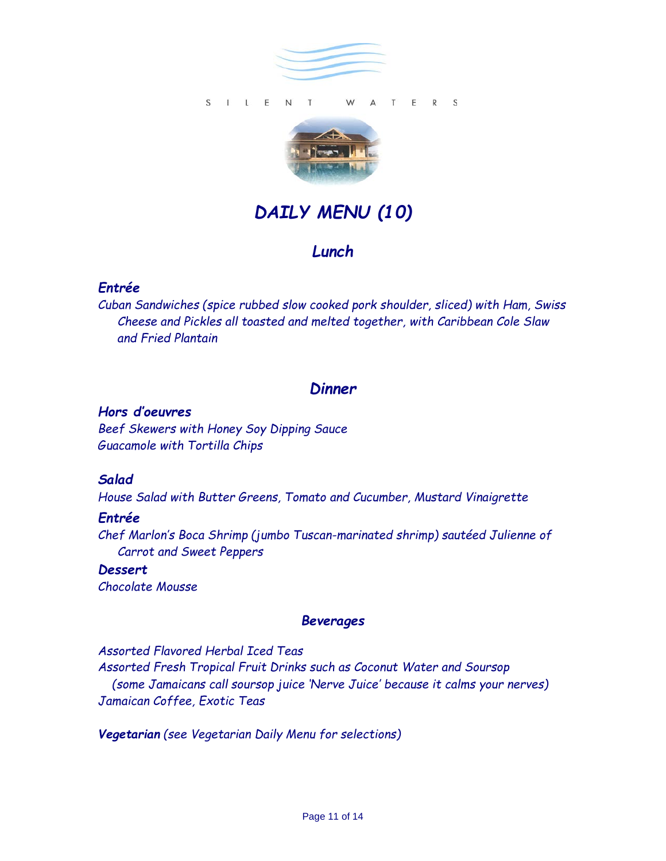



# *DAILY MENU (10)*

# *Lunch*

# *Entrée*

*Cuban Sandwiches (spice rubbed slow cooked pork shoulder, sliced) with Ham, Swiss Cheese and Pickles all toasted and melted together, with Caribbean Cole Slaw and Fried Plantain* 

# *Dinner*

#### *Hors d'oeuvres*

*Beef Skewers with Honey Soy Dipping Sauce Guacamole with Tortilla Chips*

#### *Salad*

*House Salad with Butter Greens, Tomato and Cucumber, Mustard Vinaigrette* 

#### *Entrée*

*Chef Marlon's Boca Shrimp (jumbo Tuscan-marinated shrimp) sautéed Julienne of Carrot and Sweet Peppers*

*Dessert Chocolate Mousse*

# *Beverages*

*Assorted Flavored Herbal Iced Teas Assorted Fresh Tropical Fruit Drinks such as Coconut Water and Soursop (some Jamaicans call soursop juice 'Nerve Juice' because it calms your nerves) Jamaican Coffee, Exotic Teas*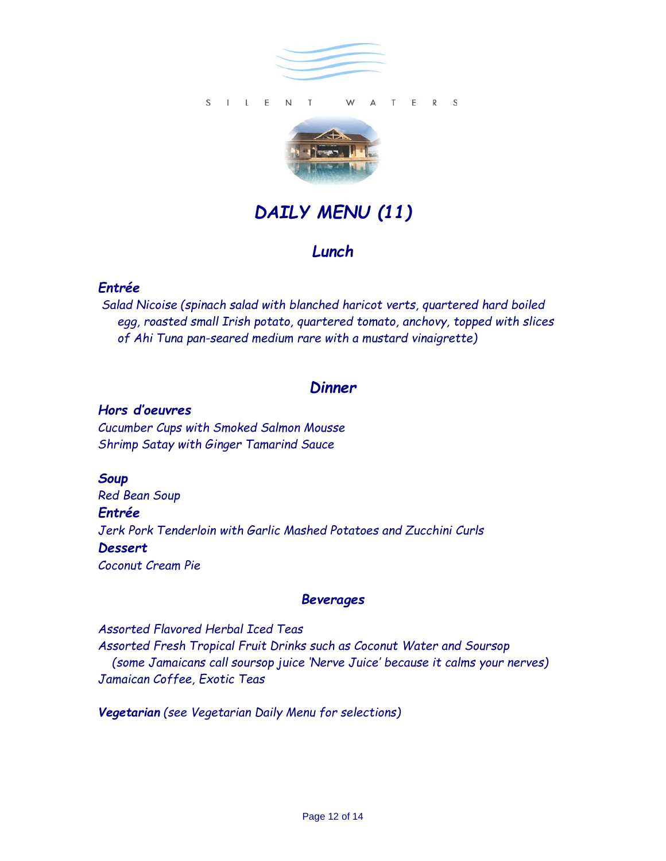

S I L E N T T E R S W  $\triangle$ 



# *DAILY MENU (11)*

# *Lunch*

# *Entrée*

*Salad Nicoise (spinach salad with blanched haricot verts, quartered hard boiled egg, roasted small Irish potato, quartered tomato, anchovy, topped with slices of Ahi Tuna pan-seared medium rare with a mustard vinaigrette)* 

# *Dinner*

#### *Hors d'oeuvres*

*Cucumber Cups with Smoked Salmon Mousse Shrimp Satay with Ginger Tamarind Sauce*

*Soup*

*Red Bean Soup Entrée Jerk Pork Tenderloin with Garlic Mashed Potatoes and Zucchini Curls Dessert Coconut Cream Pie*

#### *Beverages*

*Assorted Flavored Herbal Iced Teas Assorted Fresh Tropical Fruit Drinks such as Coconut Water and Soursop (some Jamaicans call soursop juice 'Nerve Juice' because it calms your nerves) Jamaican Coffee, Exotic Teas*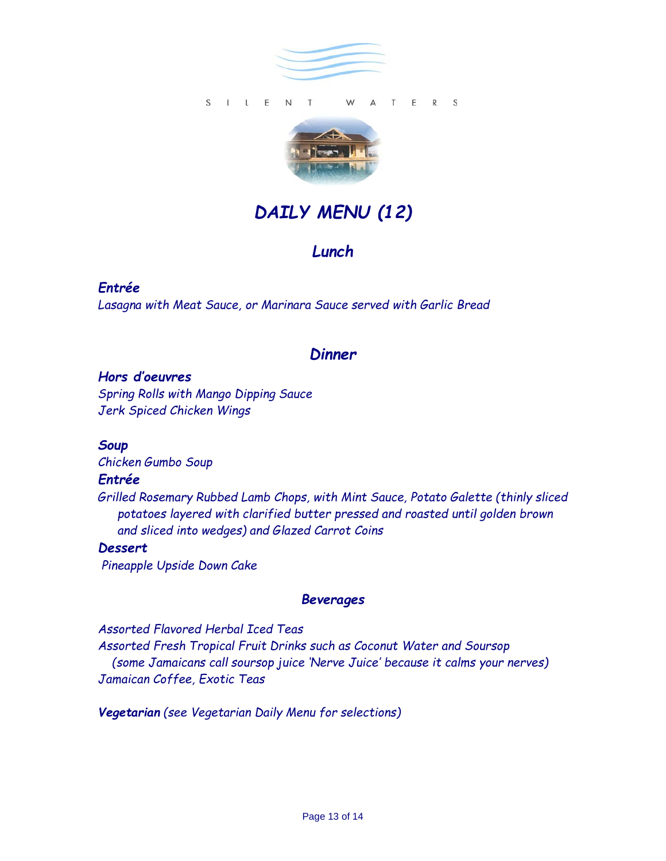

S I L E N T T E R S W  $\triangle$ 



# *DAILY MENU (12)*

# *Lunch*

### *Entrée*

*Lasagna with Meat Sauce, or Marinara Sauce served with Garlic Bread*

# *Dinner*

#### *Hors d'oeuvres*

*Spring Rolls with Mango Dipping Sauce Jerk Spiced Chicken Wings*

#### *Soup*

*Chicken Gumbo Soup*

#### *Entrée*

*Grilled Rosemary Rubbed Lamb Chops, with Mint Sauce, Potato Galette (thinly sliced potatoes layered with clarified butter pressed and roasted until golden brown and sliced into wedges) and Glazed Carrot Coins*

#### *Dessert*

*Pineapple Upside Down Cake*

#### *Beverages*

*Assorted Flavored Herbal Iced Teas Assorted Fresh Tropical Fruit Drinks such as Coconut Water and Soursop (some Jamaicans call soursop juice 'Nerve Juice' because it calms your nerves) Jamaican Coffee, Exotic Teas*